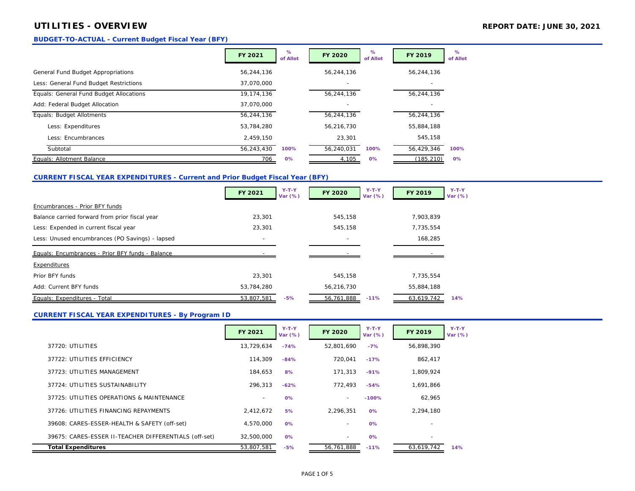## **UTILITIES - OVERVIEW REPORT DATE: JUNE 30, 2021**

### **BUDGET-TO-ACTUAL - Current Budget Fiscal Year (BFY)**

|                                         | <b>FY 2021</b> | %<br>of Allot | <b>FY 2020</b> | %<br>of Allot | FY 2019                  | $\%$<br>of Allot |
|-----------------------------------------|----------------|---------------|----------------|---------------|--------------------------|------------------|
| General Fund Budget Appropriations      | 56,244,136     |               | 56,244,136     |               | 56,244,136               |                  |
| Less: General Fund Budget Restrictions  | 37.070.000     |               |                |               |                          |                  |
| Equals: General Fund Budget Allocations | 19.174.136     |               | 56,244,136     |               | 56,244,136               |                  |
| Add: Federal Budget Allocation          | 37.070.000     |               |                |               | $\overline{\phantom{a}}$ |                  |
| Equals: Budget Allotments               | 56,244,136     |               | 56,244,136     |               | 56,244,136               |                  |
| Less: Expenditures                      | 53,784,280     |               | 56,216,730     |               | 55,884,188               |                  |
| Less: Encumbrances                      | 2.459.150      |               | 23.301         |               | 545,158                  |                  |
| Subtotal                                | 56,243,430     | 100%          | 56,240,031     | 100%          | 56,429,346               | 100%             |
| Equals: Allotment Balance               | 706            | 0%            | 4,105          | 0%            | (185, 210)               | 0%               |

## **CURRENT FISCAL YEAR EXPENDITURES - Current and Prior Budget Fiscal Year (BFY)**

|                                                  | FY 2021                  | $Y-T-Y$<br>Var (%) | FY 2020    | $Y-T-Y$<br>Var (%) | FY 2019    | $Y-T-Y$<br>Var $(%)$ |
|--------------------------------------------------|--------------------------|--------------------|------------|--------------------|------------|----------------------|
| Encumbrances - Prior BFY funds                   |                          |                    |            |                    |            |                      |
| Balance carried forward from prior fiscal year   | 23,301                   |                    | 545,158    |                    | 7,903,839  |                      |
| Less: Expended in current fiscal year            | 23,301                   |                    | 545.158    |                    | 7,735,554  |                      |
| Less: Unused encumbrances (PO Savings) - lapsed  | $\overline{\phantom{a}}$ |                    |            |                    | 168,285    |                      |
| Equals: Encumbrances - Prior BFY funds - Balance |                          |                    |            |                    |            |                      |
| Expenditures                                     |                          |                    |            |                    |            |                      |
| Prior BFY funds                                  | 23,301                   |                    | 545.158    |                    | 7.735.554  |                      |
| Add: Current BFY funds                           | 53,784,280               |                    | 56,216,730 |                    | 55,884,188 |                      |
| Equals: Expenditures - Total                     | 53,807,581               | $-5%$              | 56,761,888 | $-11%$             | 63,619,742 | 14%                  |

## **CURRENT FISCAL YEAR EXPENDITURES - By Program ID**

|                                                       | FY 2021    | $Y-T-Y$<br>Var (%) | <b>FY 2020</b>           | $Y-T-Y$<br>Var (%) | FY 2019                  | $Y-T-Y$<br>Var (%) |
|-------------------------------------------------------|------------|--------------------|--------------------------|--------------------|--------------------------|--------------------|
| 37720: UTILITIES                                      | 13,729,634 | $-74%$             | 52,801,690               | $-7%$              | 56,898,390               |                    |
| 37722: UTILITIES EFFICIENCY                           | 114,309    | $-84%$             | 720.041                  | $-17%$             | 862.417                  |                    |
| 37723: UTILITIES MANAGEMENT                           | 184.653    | 8%                 | 171.313                  | $-91%$             | 1,809,924                |                    |
| 37724: UTILITIES SUSTAINABILITY                       | 296.313    | $-62%$             | 772.493                  | $-54%$             | 1,691,866                |                    |
| 37725: UTILITIES OPERATIONS & MAINTENANCE             |            | 0%                 | $\sim$                   | $-100%$            | 62,965                   |                    |
| 37726: UTILITIES FINANCING REPAYMENTS                 | 2.412.672  | 5%                 | 2.296.351                | 0%                 | 2,294,180                |                    |
| 39608: CARES-ESSER-HEALTH & SAFETY (off-set)          | 4.570.000  | 0%                 | $\sim$                   | 0%                 |                          |                    |
| 39675: CARES-ESSER II-TEACHER DIFFERENTIALS (off-set) | 32.500.000 | 0%                 | $\overline{\phantom{a}}$ | 0%                 | $\overline{\phantom{a}}$ |                    |
| <b>Total Expenditures</b>                             | 53.807.581 | $-5%$              | 56.761.888               | $-11%$             | 63.619.742               | 14%                |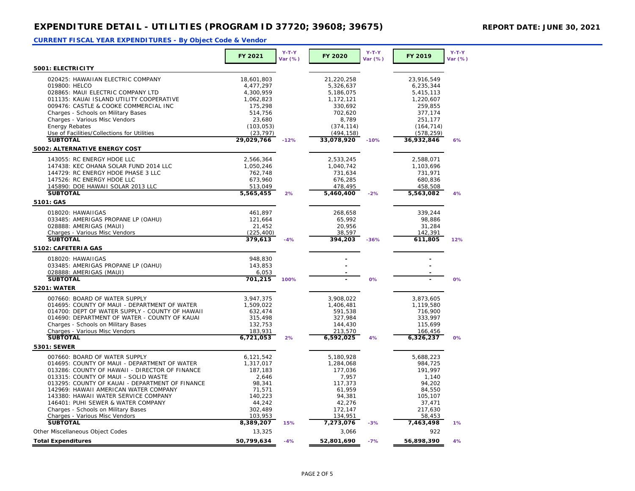|                                                                | FY 2021    | $Y-T-Y$<br>Var (%) | FY 2020    | $Y-T-Y$<br>Var (%) | FY 2019    | $Y-T-Y$<br>Var (%) |
|----------------------------------------------------------------|------------|--------------------|------------|--------------------|------------|--------------------|
| 5001: ELECTRICITY                                              |            |                    |            |                    |            |                    |
| 020425: HAWAIIAN ELECTRIC COMPANY                              | 18,601,803 |                    | 21,220,258 |                    | 23.916.549 |                    |
| 019800: HELCO                                                  | 4,477,297  |                    | 5,326,637  |                    | 6,235,344  |                    |
| 028865: MAUI ELECTRIC COMPANY LTD                              | 4,300,959  |                    | 5,186,075  |                    | 5,415,113  |                    |
| 011135: KAUAI ISLAND UTILITY COOPERATIVE                       | 1,062,823  |                    | 1,172,121  |                    | 1,220,607  |                    |
| 009476: CASTLE & COOKE COMMERCIAL INC                          |            |                    |            |                    |            |                    |
|                                                                | 175,298    |                    | 330,692    |                    | 259,855    |                    |
| Charges - Schools on Military Bases                            | 514,756    |                    | 702,620    |                    | 377,174    |                    |
| Charges - Various Misc Vendors                                 | 23,680     |                    | 8,789      |                    | 251,177    |                    |
| <b>Energy Rebates</b>                                          | (103, 053) |                    | (374, 114) |                    | (164, 714) |                    |
| Use of Facilities/Collections for Utilities<br><b>SUBTOTAL</b> | (23, 797)  |                    | (494, 158) |                    | (578, 259) |                    |
|                                                                | 29,029,766 | $-12%$             | 33,078,920 | $-10%$             | 36,932,846 | 6%                 |
| 5002: ALTERNATIVE ENERGY COST                                  |            |                    |            |                    |            |                    |
| 143055: RC ENERGY HDOE LLC                                     | 2,566,364  |                    | 2,533,245  |                    | 2,588,071  |                    |
| 147438: KEC OHANA SOLAR FUND 2014 LLC                          | 1,050,246  |                    | 1,040,742  |                    | 1,103,696  |                    |
| 144729: RC ENERGY HDOE PHASE 3 LLC                             | 762,748    |                    | 731,634    |                    | 731,971    |                    |
| 147526: RC ENERGY HDOE LLC                                     | 673,960    |                    | 676,285    |                    | 680,836    |                    |
| 145890: DOE HAWAII SOLAR 2013 LLC                              | 513,049    |                    | 478,495    |                    | 458,508    |                    |
| <b>SUBTOTAL</b>                                                | 5,565,455  | 2%                 | 5,460,400  | $-2%$              | 5,563,082  | 4%                 |
| 5101: GAS                                                      |            |                    |            |                    |            |                    |
| 018020: HAWAIIGAS                                              | 461,897    |                    | 268,658    |                    | 339,244    |                    |
| 033485: AMERIGAS PROPANE LP (OAHU)                             | 121,664    |                    | 65,992     |                    | 98,886     |                    |
| 028888: AMERIGAS (MAUI)                                        | 21,452     |                    | 20,956     |                    | 31,284     |                    |
| Charges - Various Misc Vendors                                 | (225, 400) |                    | 38,597     |                    | 142,391    |                    |
| <b>SUBTOTAL</b>                                                | 379,613    | $-4%$              | 394,203    | $-36%$             | 611,805    | 12%                |
| 5102: CAFETERIA GAS                                            |            |                    |            |                    |            |                    |
| 018020: HAWAIIGAS                                              | 948,830    |                    |            |                    |            |                    |
|                                                                |            |                    |            |                    |            |                    |
| 033485: AMERIGAS PROPANE LP (OAHU)                             | 143,853    |                    |            |                    |            |                    |
| 028888: AMERIGAS (MAUI)                                        | 6,053      |                    |            |                    |            |                    |
| <b>SUBTOTAL</b>                                                | 701,215    | 100%               |            | 0%                 |            | 0%                 |
| 5201: WATER                                                    |            |                    |            |                    |            |                    |
| 007660: BOARD OF WATER SUPPLY                                  | 3,947,375  |                    | 3,908,022  |                    | 3,873,605  |                    |
| 014695: COUNTY OF MAUI - DEPARTMENT OF WATER                   | 1,509,022  |                    | 1,406,481  |                    | 1,119,580  |                    |
| 014700: DEPT OF WATER SUPPLY - COUNTY OF HAWAII                | 632,474    |                    | 591,538    |                    | 716,900    |                    |
| 014690: DEPARTMENT OF WATER - COUNTY OF KAUAI                  | 315,498    |                    | 327,984    |                    | 333,997    |                    |
| Charges - Schools on Military Bases                            | 132,753    |                    | 144,430    |                    | 115,699    |                    |
| Charges - Various Misc Vendors                                 | 183,931    |                    | 213,570    |                    | 166,456    |                    |
| <b>SUBTOTAL</b>                                                | 6,721,053  | 2%                 | 6,592,025  | 4%                 | 6,326,237  | 0%                 |
| 5301: SEWER                                                    |            |                    |            |                    |            |                    |
| 007660: BOARD OF WATER SUPPLY                                  | 6,121,542  |                    | 5,180,928  |                    | 5,688,223  |                    |
| 014695: COUNTY OF MAUI - DEPARTMENT OF WATER                   | 1,317,017  |                    | 1,284,068  |                    | 984,725    |                    |
| 013286: COUNTY OF HAWAII - DIRECTOR OF FINANCE                 | 187,183    |                    | 177,036    |                    | 191,997    |                    |
| 013315: COUNTY OF MAUI - SOLID WASTE                           | 2,646      |                    | 7,957      |                    | 1,140      |                    |
| 013295: COUNTY OF KAUAI - DEPARTMENT OF FINANCE                | 98.341     |                    | 117.373    |                    | 94.202     |                    |
| 142969: HAWAII AMERICAN WATER COMPANY                          | 71,571     |                    | 61,959     |                    | 84,550     |                    |
| 143380: HAWAII WATER SERVICE COMPANY                           | 140,223    |                    | 94,381     |                    | 105,107    |                    |
| 146401: PUHI SEWER & WATER COMPANY                             | 44,242     |                    | 42,276     |                    | 37,471     |                    |
| Charges - Schools on Military Bases                            | 302,489    |                    | 172,147    |                    | 217,630    |                    |
| Charges - Various Misc Vendors                                 | 103,953    |                    | 134,951    |                    | 58,453     |                    |
| <b>SUBTOTAL</b>                                                | 8,389,207  | 15%                | 7,273,076  | $-3%$              | 7,463,498  | 1%                 |
| Other Miscellaneous Object Codes                               | 13,325     |                    | 3,066      |                    | 922        |                    |
| <b>Total Expenditures</b>                                      | 50,799,634 | $-4%$              | 52,801,690 | $-7%$              | 56,898,390 | 4%                 |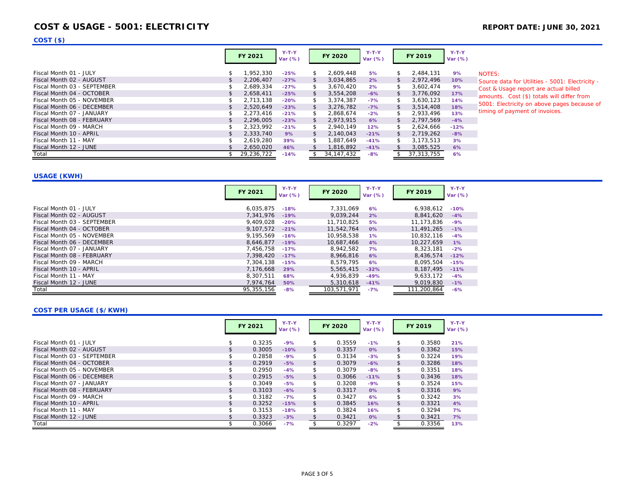## **COST & USAGE - 5001: ELECTRICITY REPORT DATE: JUNE 30, 2021**

## **COST (\$)**

|                             |     | FY 2021    | $Y-T-Y$<br>Var (%) | <b>FY 2020</b>  | $Y-T-Y$<br>Var (%) |     | <b>FY 2019</b> | $Y-T-Y$<br>Var (%) |               |
|-----------------------------|-----|------------|--------------------|-----------------|--------------------|-----|----------------|--------------------|---------------|
| Fiscal Month 01 - JULY      | \$  | 1.952.330  | $-25%$             | \$<br>2.609.448 | 5%                 | \$  | 2,484,131      | 9%                 | <b>NOTES:</b> |
| Fiscal Month 02 - AUGUST    | \$  | 2,206,407  | $-27%$             | \$<br>3,034,865 | 2%                 | \$  | 2,972,496      | 10%                | Source dat    |
| Fiscal Month 03 - SEPTEMBER | \$  | 2.689.334  | $-27%$             | \$<br>3.670.420 | 2%                 | \$. | 3.602.474      | 9%                 | Cost & Usa    |
| Fiscal Month 04 - OCTOBER   | \$  | 2,658,411  | $-25%$             | \$<br>3,554,208 | $-6%$              | \$  | 3,776,092      | 17%                | amounts.      |
| Fiscal Month 05 - NOVEMBER  | \$  | 2,713,138  | $-20%$             | \$<br>3.374.387 | $-7%$              | \$. | 3.630.123      | 14%                |               |
| Fiscal Month 06 - DECEMBER  | \$  | 2.520.649  | $-23%$             | \$<br>3.276.782 | $-7%$              | \$  | 3.514.408      | 18%                | 5001: Elec    |
| Fiscal Month 07 - JANUARY   | \$  | 2,273,416  | $-21%$             | \$<br>2.868.674 | $-2%$              | \$  | 2,933,496      | 13%                | timing of p   |
| Fiscal Month 08 - FEBRUARY  | \$  | 2.296.005  | $-23%$             | \$<br>2.973.915 | 6%                 | \$  | 2.797.569      | $-4%$              |               |
| Fiscal Month 09 - MARCH     | \$  | 2,323,992  | $-21%$             | \$<br>2.940.149 | 12%                | \$  | 2,624,666      | $-12%$             |               |
| Fiscal Month 10 - APRIL     | \$. | 2.333.740  | 9%                 | \$<br>2.140.043 | $-21%$             | \$  | 2.719.262      | $-8%$              |               |
| Fiscal Month 11 - MAY       |     | 2.619.280  | 39%                | \$<br>1.887.649 | $-41%$             | \$. | 3.173.513      | 3%                 |               |
| Fiscal Month 12 - JUNE      |     | 2,650,020  | 46%                | 1,816,892       | $-41%$             |     | 3,085,525      | 6%                 |               |
| Total                       |     | 29.236.722 | $-14%$             | 34, 147, 432    | $-8%$              |     | 37.313.755     | 6%                 |               |

ta for Utilities - 5001: Electricity age report are actual billed Cost (\$) totals will differ from tricity on above pages because of bayment of invoices.

## **USAGE (KWH)**

|                             | <b>FY 2021</b> | $Y-T-Y$<br>Var (%) | <b>FY 2020</b> | $Y-T-Y$<br>Var $(%)$ | FY 2019     | $Y-T-Y$<br>Var $(%)$ |
|-----------------------------|----------------|--------------------|----------------|----------------------|-------------|----------------------|
| Fiscal Month 01 - JULY      | 6.035.875      | $-18%$             | 7.331.069      | 6%                   | 6,938,612   | $-10%$               |
| Fiscal Month 02 - AUGUST    | 7.341.976      | $-19%$             | 9.039.244      | 2%                   | 8.841.620   | $-4%$                |
| Fiscal Month 03 - SEPTEMBER | 9,409,028      | $-20%$             | 11.710.825     | 5%                   | 11.173.836  | $-9%$                |
| Fiscal Month 04 - OCTOBER   | 9.107.572      | $-21%$             | 11.542.764     | 0%                   | 11,491,265  | $-1%$                |
| Fiscal Month 05 - NOVEMBER  | 9.195.569      | $-16%$             | 10,958,538     | 1%                   | 10,832,116  | $-4%$                |
| Fiscal Month 06 - DECEMBER  | 8,646,877      | $-19%$             | 10,687,466     | 4%                   | 10,227,659  | 1%                   |
| Fiscal Month 07 - JANUARY   | 7.456.758      | $-17%$             | 8.942.582      | 7%                   | 8.323.181   | $-2%$                |
| Fiscal Month 08 - FEBRUARY  | 7.398.420      | $-17%$             | 8,966,816      | 6%                   | 8.436.574   | $-12%$               |
| Fiscal Month 09 - MARCH     | 7.304.138      | $-15%$             | 8.579.795      | 6%                   | 8.095.504   | $-15%$               |
| Fiscal Month 10 - APRIL     | 7.176.668      | 29%                | 5,565,415      | $-32%$               | 8.187.495   | $-11%$               |
| Fiscal Month 11 - MAY       | 8.307.511      | 68%                | 4,936,839      | $-49%$               | 9,633,172   | $-4%$                |
| Fiscal Month 12 - JUNE      | 7.974.764      | 50%                | 5,310,618      | $-41%$               | 9,019,830   | $-1%$                |
| Total                       | 95,355,156     | $-8%$              | 103,571,971    | $-7%$                | 111,200,864 | $-6%$                |

### **COST PER USAGE (\$/KWH)**

|                             | FY 2021      | $Y-T-Y$<br>Var (%) | <b>FY 2020</b> | $Y-T-Y$<br>Var (%) | FY 2019      | $Y-T-Y$<br>Var (%) |
|-----------------------------|--------------|--------------------|----------------|--------------------|--------------|--------------------|
| Fiscal Month 01 - JULY      | \$<br>0.3235 | $-9%$              | \$<br>0.3559   | $-1%$              | \$<br>0.3580 | 21%                |
| Fiscal Month 02 - AUGUST    | \$<br>0.3005 | $-10%$             | \$<br>0.3357   | $0\%$              | \$<br>0.3362 | 15%                |
| Fiscal Month 03 - SEPTEMBER | \$<br>0.2858 | $-9%$              | \$<br>0.3134   | $-3%$              | \$<br>0.3224 | 19%                |
| Fiscal Month 04 - OCTOBER   | \$<br>0.2919 | $-5%$              | \$<br>0.3079   | $-6%$              | \$<br>0.3286 | 18%                |
| Fiscal Month 05 - NOVEMBER  | \$<br>0.2950 | $-4%$              | \$<br>0.3079   | $-8%$              | \$<br>0.3351 | 18%                |
| Fiscal Month 06 - DECEMBER  | \$<br>0.2915 | $-5%$              | \$<br>0.3066   | $-11%$             | \$<br>0.3436 | 18%                |
| Fiscal Month 07 - JANUARY   | 0.3049       | $-5%$              | \$<br>0.3208   | $-9%$              | \$<br>0.3524 | 15%                |
| Fiscal Month 08 - FEBRUARY  | \$<br>0.3103 | $-6%$              | \$<br>0.3317   | $0\%$              | \$<br>0.3316 | 9%                 |
| Fiscal Month 09 - MARCH     | \$<br>0.3182 | $-7%$              | \$<br>0.3427   | 6%                 | \$<br>0.3242 | 3%                 |
| Fiscal Month 10 - APRIL     | \$<br>0.3252 | $-15%$             | \$<br>0.3845   | 16%                | \$<br>0.3321 | 4%                 |
| Fiscal Month 11 - MAY       | 0.3153       | $-18%$             | \$<br>0.3824   | 16%                | \$<br>0.3294 | 7%                 |
| Fiscal Month 12 - JUNE      | 0.3323       | $-3%$              | 0.3421         | $0\%$              | 0.3421       | 7%                 |
| Total                       | 0.3066       | $-7%$              | 0.3297         | $-2%$              | 0.3356       | 13%                |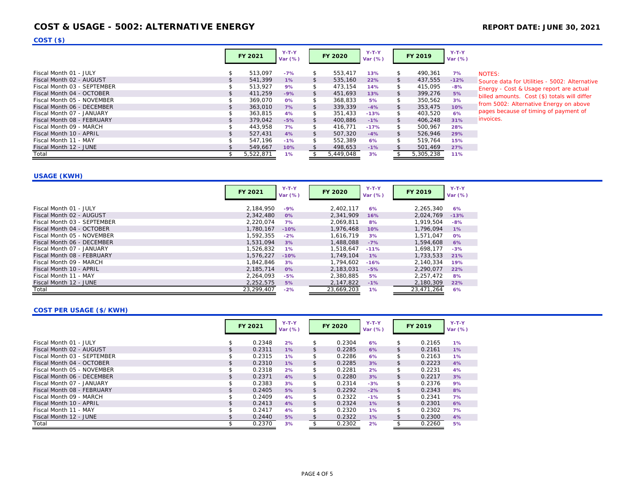## **COST & USAGE - 5002: ALTERNATIVE ENERGY REPORT DATE: JUNE 30, 2021**

**COST (\$)**

|                                                         |          | <b>FY 2021</b>     | $Y-T-Y$<br>Var $(\%)$ |          | <b>FY 2020</b>     | $Y-T-Y$<br>Var (%) |          | FY 2019            | $Y-T-Y$<br>Var (%) |                |
|---------------------------------------------------------|----------|--------------------|-----------------------|----------|--------------------|--------------------|----------|--------------------|--------------------|----------------|
| Fiscal Month 01 - JULY                                  | \$       | 513.097            | $-7%$                 | \$       | 553.417            | 13%                | \$       | 490.361            | 7%                 | <b>NOTE</b>    |
| Fiscal Month 02 - AUGUST<br>Fiscal Month 03 - SEPTEMBER | \$<br>\$ | 541.399<br>513.927 | $1\%$<br>9%           | \$<br>\$ | 535,160<br>473.154 | 22%<br>14%         | \$<br>\$ | 437,555<br>415.095 | $-12%$<br>$-8%$    | Sourc<br>Energ |
| Fiscal Month 04 - OCTOBER                               | \$       | 411.259            | $-9%$                 | \$       | 451,693            | 13%                | \$       | 399,276            | 5%                 | billed         |
| Fiscal Month 05 - NOVEMBER                              | \$       | 369.070            | 0%                    | \$       | 368.833            | 5%                 | \$       | 350.562            | 3%                 | from           |
| Fiscal Month 06 - DECEMBER                              | \$       | 363,010            | 7%                    | \$       | 339.339            | $-4%$              | \$       | 353,475            | 10%                |                |
| Fiscal Month 07 - JANUARY                               | \$       | 363,815            | 4%                    | \$       | 351,433            | $-13%$             | \$       | 403,520            | 6%                 | pages          |
| Fiscal Month 08 - FEBRUARY                              | \$       | 379.042            | $-5%$                 | \$       | 400.886            | $-1\%$             | \$       | 406.248            | 31%                | invoid         |
| Fiscal Month 09 - MARCH                                 | \$       | 443.958            | 7%                    | \$       | 416.771            | $-17%$             | \$       | 500.967            | 28%                |                |
| Fiscal Month 10 - APRIL                                 | \$       | 527.431            | 4%                    | \$       | 507.320            | $-4%$              | \$       | 526.946            | 29%                |                |
| Fiscal Month 11 - MAY                                   |          | 547.196            | $-1%$                 | \$       | 552.389            | 6%                 | \$       | 519.764            | 15%                |                |
| Fiscal Month 12 - JUNE                                  |          | 549,667            | 10%                   |          | 498,653            | $-1%$              |          | 501,469            | 27%                |                |
| Total                                                   | \$.      | 5.522.871          | 1%                    |          | 5.449.048          | 3%                 |          | 5.305.238          | 11%                |                |

 $SS<sub>i</sub>$ 

ce data for Utilities - 5002: Alternative gy - Cost & Usage report are actual I amounts. Cost (\$) totals will differ 5002: Alternative Energy on above s because of timing of payment of ces.

### **USAGE (KWH)**

|                             | FY 2021    | $Y-T-Y$<br>Var (%) | <b>FY 2020</b> | $Y-T-Y$<br>Var (%) | FY 2019    | $Y-T-Y$<br>Var $(%)$ |
|-----------------------------|------------|--------------------|----------------|--------------------|------------|----------------------|
| Fiscal Month 01 - JULY      | 2,184,950  | $-9%$              | 2.402.117      | 6%                 | 2,265,340  | 6%                   |
| Fiscal Month 02 - AUGUST    | 2.342.480  | $0\%$              | 2.341.909      | 16%                | 2,024,769  | $-13%$               |
| Fiscal Month 03 - SEPTEMBER | 2,220,074  | 7%                 | 2,069,811      | 8%                 | 1.919.504  | $-8%$                |
| Fiscal Month 04 - OCTOBER   | 1.780.167  | $-10%$             | 1.976.468      | 10%                | 1.796.094  | 1%                   |
| Fiscal Month 05 - NOVEMBER  | 1,592,355  | $-2%$              | 1,616,719      | 3%                 | 1.571.047  | 0%                   |
| Fiscal Month 06 - DECEMBER  | 1,531,094  | 3%                 | 1,488,088      | $-7%$              | 1,594,608  | 6%                   |
| Fiscal Month 07 - JANUARY   | 1.526.832  | $1\%$              | 1.518.647      | $-11%$             | 1.698.177  | $-3%$                |
| Fiscal Month 08 - FEBRUARY  | 1,576,227  | $-10%$             | 1.749.104      | 1%                 | 1,733,533  | 21%                  |
| Fiscal Month 09 - MARCH     | 1.842.846  | 3%                 | 1.794.602      | $-16%$             | 2.140.334  | 19%                  |
| Fiscal Month 10 - APRIL     | 2,185,714  | $0\%$              | 2,183,031      | $-5%$              | 2,290,077  | 22%                  |
| Fiscal Month 11 - MAY       | 2,264,093  | $-5%$              | 2,380,885      | 5%                 | 2,257,472  | 8%                   |
| Fiscal Month 12 - JUNE      | 2,252,575  | 5%                 | 2,147,822      | $-1%$              | 2,180,309  | 22%                  |
| Total                       | 23,299,407 | $-2%$              | 23,669,203     | $1\%$              | 23,471,264 | 6%                   |

## **COST PER USAGE (\$/KWH)**

|                             | FY 2021      | $Y-T-Y$<br>Var (%) | <b>FY 2020</b> | $Y-T-Y$<br>Var (%) |               | <b>FY 2019</b> | $Y-T-Y$<br>Var $(%)$ |
|-----------------------------|--------------|--------------------|----------------|--------------------|---------------|----------------|----------------------|
| Fiscal Month 01 - JULY      | 0.2348       | 2%                 | \$<br>0.2304   | 6%                 | \$            | 0.2165         | $1\%$                |
| Fiscal Month 02 - AUGUST    | \$<br>0.2311 | $1\%$              | \$<br>0.2285   | 6%                 | \$            | 0.2161         | 1%                   |
| Fiscal Month 03 - SEPTEMBER | 0.2315       | $1\%$              | \$<br>0.2286   | 6%                 | \$            | 0.2163         | 1%                   |
| Fiscal Month 04 - OCTOBER   | 0.2310       | $1\%$              | \$<br>0.2285   | 3%                 | \$            | 0.2223         | 4%                   |
| Fiscal Month 05 - NOVEMBER  | 0.2318       | 2%                 | \$<br>0.2281   | 2%                 | \$            | 0.2231         | 4%                   |
| Fiscal Month 06 - DECEMBER  | \$<br>0.2371 | 4%                 | \$<br>0.2280   | 3%                 | \$            | 0.2217         | 3%                   |
| Fiscal Month 07 - JANUARY   | 0.2383       | 3%                 | \$<br>0.2314   | $-3%$              | \$            | 0.2376         | 9%                   |
| Fiscal Month 08 - FEBRUARY  | 0.2405       | 5%                 | \$<br>0.2292   | $-2%$              | \$            | 0.2343         | 8%                   |
| Fiscal Month 09 - MARCH     | 0.2409       | 4%                 | \$<br>0.2322   | $-1%$              | \$            | 0.2341         | 7%                   |
| Fiscal Month 10 - APRIL     | \$<br>0.2413 | 4%                 | \$<br>0.2324   | $1\%$              | \$            | 0.2301         | 6%                   |
| Fiscal Month 11 - MAY       | 0.2417       | 4%                 | \$<br>0.2320   | 1%                 | \$            | 0.2302         | 7%                   |
| Fiscal Month 12 - JUNE      | 0.2440       | 5%                 | 0.2322         | 1%                 | $\mathcal{L}$ | 0.2300         | 4%                   |
| Total                       | 0.2370       | 3%                 | 0.2302         | 2%                 |               | 0.2260         | 5%                   |